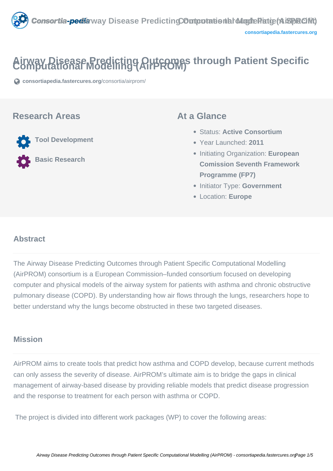

# **Airway Disease Predicting AHFROMS through Patient Specific**

**[consortiapedia.fastercures.org](https://consortiapedia.fastercures.org/consortia/airprom/)**[/consortia/airprom/](https://consortiapedia.fastercures.org/consortia/airprom/)

#### **Research Areas**

 **Tool Development Basic Research**

#### **At a Glance**

- Status: **Active Consortium**
- Year Launched: **2011**
- Initiating Organization: **European Comission Seventh Framework Programme (FP7)**
- **Initiator Type: Government**
- Location: **Europe**

#### $\overline{a}$ **Abstract**

The Airway Disease Predicting Outcomes through Patient Specific Computational Modelling (AirPROM) consortium is a European Commission–funded consortium focused on developing computer and physical models of the airway system for patients with asthma and chronic obstructive pulmonary disease (COPD). By understanding how air flows through the lungs, researchers hope to better understand why the lungs become obstructed in these two targeted diseases.

### **Mission**

AirPROM aims to create tools that predict how asthma and COPD develop, because current methods can only assess the severity of disease. AirPROM's ultimate aim is to bridge the gaps in clinical management of airway-based disease by providing reliable models that predict disease progression and the response to treatment for each person with asthma or COPD.

The project is divided into different work packages (WP) to cover the following areas: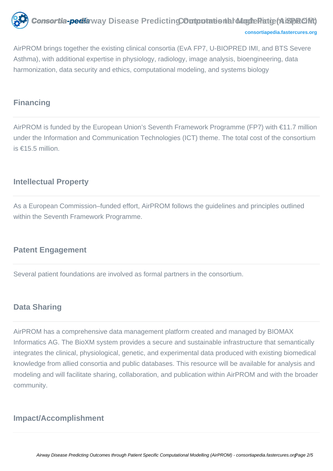

**[consortiapedia.fastercures.org](http://consortiapedia.fastercures.org/)**

AirPROM brings together the existing clinical consortia (EvA FP7, U-BIOPRED IMI, and BTS Severe Asthma), with additional expertise in physiology, radiology, image analysis, bioengineering, data harmonization, data security and ethics, computational modeling, and systems biology

### **Financing**

AirPROM is funded by the European Union's Seventh Framework Programme (FP7) with €11.7 million under the Information and Communication Technologies (ICT) theme. The total cost of the consortium is €15.5 million.

## **Intellectual Property**

As a European Commission–funded effort, AirPROM follows the guidelines and principles outlined within the Seventh Framework Programme.

#### **Patent Engagement**

Several patient foundations are involved as formal partners in the consortium.

#### **Data Sharing**

AirPROM has a comprehensive data management platform created and managed by BIOMAX Informatics AG. The BioXM system provides a secure and sustainable infrastructure that semantically integrates the clinical, physiological, genetic, and experimental data produced with existing biomedical knowledge from allied consortia and public databases. This resource will be available for analysis and modeling and will facilitate sharing, collaboration, and publication within AirPROM and with the broader community.

# **Impact/Accomplishment**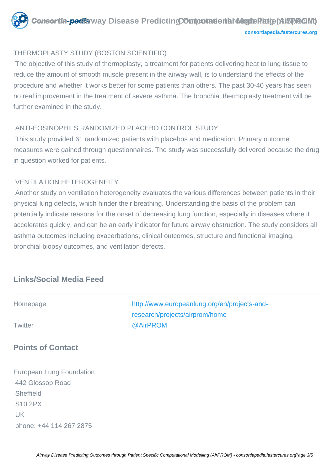

#### THERMOPLASTY STUDY (BOSTON SCIENTIFIC)

 The objective of this study of thermoplasty, a treatment for patients delivering heat to lung tissue to reduce the amount of smooth muscle present in the airway wall, is to understand the effects of the procedure and whether it works better for some patients than others. The past 30-40 years has seen no real improvement in the treatment of severe asthma. The bronchial thermoplasty treatment will be further examined in the study.

#### ANTI-EOSINOPHILS RANDOMIZED PLACEBO CONTROL STUDY

 This study provided 61 randomized patients with placebos and medication. Primary outcome measures were gained through questionnaires. The study was successfully delivered because the drug in question worked for patients.

#### VENTILATION HETEROGENEITY

 Another study on ventilation heterogeneity evaluates the various differences between patients in their physical lung defects, which hinder their breathing. Understanding the basis of the problem can potentially indicate reasons for the onset of decreasing lung function, especially in diseases where it accelerates quickly, and can be an early indicator for future airway obstruction. The study considers all asthma outcomes including exacerbations, clinical outcomes, structure and functional imaging, bronchial biopsy outcomes, and ventilation defects.

# **Links/Social Media Feed**

| Homepage<br><b>Twitter</b>      | http://www.europeanlung.org/en/projects-and-<br>research/projects/airprom/home<br>@AirPROM |
|---------------------------------|--------------------------------------------------------------------------------------------|
|                                 |                                                                                            |
| <b>European Lung Foundation</b> |                                                                                            |
| 442 Glossop Road                |                                                                                            |

**Sheffield**  S10 2PX UK phone: +44 114 267 2875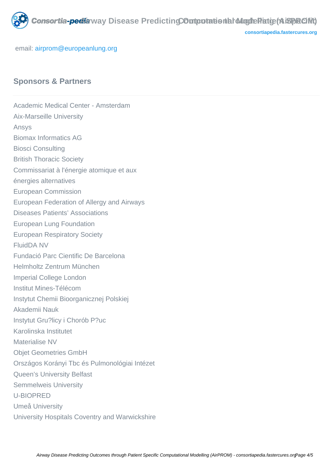

**[consortiapedia.fastercures.org](http://consortiapedia.fastercures.org/)**

email: [airprom@europeanlung.org](mailto:airprom@europeanlung.org)

## **Sponsors & Partners**

Academic Medical Center - Amsterdam Aix-Marseille University Ansys Biomax Informatics AG Biosci Consulting British Thoracic Society Commissariat à l'énergie atomique et aux énergies alternatives European Commission European Federation of Allergy and Airways Diseases Patients' Associations European Lung Foundation European Respiratory Society FluidDA NV Fundació Parc Cientific De Barcelona Helmholtz Zentrum München Imperial College London Institut Mines-Télécom Instytut Chemii Bioorganicznej Polskiej Akademii Nauk Instytut Gru?licy i Chorób P?uc Karolinska Institutet Materialise NV Objet Geometries GmbH Országos Korányi Tbc és Pulmonológiai Intézet Queen's University Belfast Semmelweis University U-BIOPRED Umeå University University Hospitals Coventry and Warwickshire